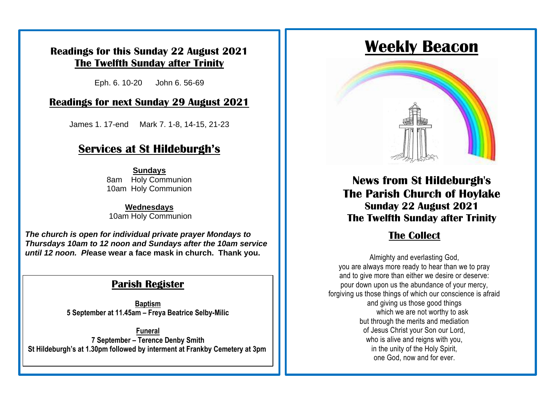#### **Readings for this Sunday 22 August 2021 The Twelfth Sunday after Trinity**

Eph. 6. 10-20 John 6. 56-69

#### **Readings for next Sunday 29 August 2021**

**Sunday Services at St Hildeburgh's** James 1. 17-end Mark 7. 1-8, 14-15, 21-23

## **Services at St Hildeburgh's**

service of Holy Communication in church. This will be a service of Holy Communication in church. This will be a<br>This will be a series of the church. This will be a series of the church. This will be a series of the church. ed in Holy Communion<br>10am Holy Communion change as the develop of  $\overline{\mathcal{C}}$ **Sundays** 10am Holy Communion

10am Holy Communion **Wednesdays**

**Thursdays 10am to 12 noon and Sundays after the 10am service**<br>*Thursdays 10am to 12 noon a fore mook* in church. Thenk you *The church is open for individual private prayer Mondays to until 12 noon. Pl***ease wear a face mask in church. Thank you.**

#### **Parish Register**

**Baptism 5 September at 11.45am – Freya Beatrice Selby-Milic**

**Funeral 7 September – Terence Denby Smith St Hildeburgh's at 1.30pm followed by interment at Frankby Cemetery at 3pm**

# **Weekly Beacon**



**News from St Hildeburgh's The Parish Church of Hoylake Sunday 22 August 2021 The Twelfth Sunday after Trinity**

## **The Collect**

Almighty and everlasting God, you are always more ready to hear than we to pray and to give more than either we desire or deserve: pour down upon us the abundance of your mercy, forgiving us those things of which our conscience is afraid and giving us those good things which we are not worthy to ask but through the merits and mediation of Jesus Christ your Son our Lord, who is alive and reigns with you, in the unity of the Holy Spirit, one God, now and for ever.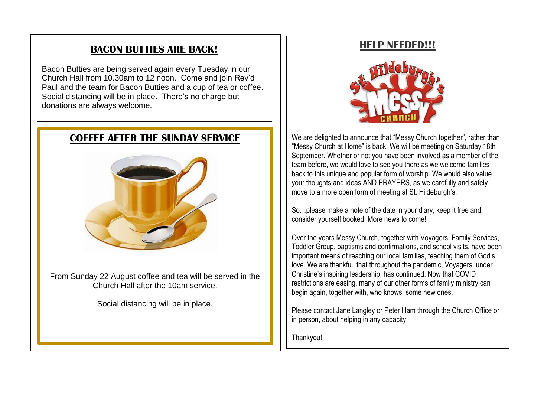#### **BACON BUTTIES ARE BACK!**

Bacon Butties are being served again every Tuesday in our Church Hall from 10.30am to 12 noon. Come and join Rev'd Paul and the team for Bacon Butties and a cup of tea or coffee. Social distancing will be in place. There's no charge but donations are always welcome.

#### **COFFEE AFTER THE SUNDAY SERVICE**



From Sunday 22 August coffee and tea will be served in the Church Hall after the 10am service.

Social distancing will be in place.

#### **HELP NEEDED!!!**



We are delighted to announce that "Messy Church together", rather than "Messy Church at Home" is back. We will be meeting on Saturday 18th September. Whether or not you have been involved as a member of the team before, we would love to see you there as we welcome families back to this unique and popular form of worship. We would also value your thoughts and ideas AND PRAYERS, as we carefully and safely move to a more open form of meeting at St. Hildeburgh's.

So…please make a note of the date in your diary, keep it free and consider yourself booked! More news to come!

Over the years Messy Church, together with Voyagers, Family Services, Toddler Group, baptisms and confirmations, and school visits, have been important means of reaching our local families, teaching them of God's love. We are thankful, that throughout the pandemic, Voyagers, under Christine's inspiring leadership, has continued. Now that COVID restrictions are easing, many of our other forms of family ministry can begin again, together with, who knows, some new ones.

Please contact Jane Langley or Peter Ham through the Church Office or in person, about helping in any capacity.

Thankyou!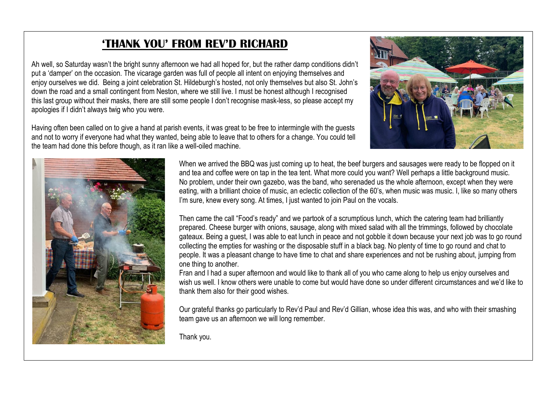## **'THANK YOU' FROM REV'D RICHARD**

Ah well, so Saturday wasn't the bright sunny afternoon we had all hoped for, but the rather damp conditions didn't put a 'damper' on the occasion. The vicarage garden was full of people all intent on enjoying themselves and enjoy ourselves we did. Being a joint celebration St. Hildeburgh's hosted, not only themselves but also St. John's down the road and a small contingent from Neston, where we still live. I must be honest although I recognised this last group without their masks, there are still some people I don't recognise mask-less, so please accept my apologies if I didn't always twig who you were.

Having often been called on to give a hand at parish events, it was great to be free to intermingle with the guests and not to worry if everyone had what they wanted, being able to leave that to others for a change. You could tell the team had done this before though, as it ran like a well-oiled machine.





When we arrived the BBQ was just coming up to heat, the beef burgers and sausages were ready to be flopped on it and tea and coffee were on tap in the tea tent. What more could you want? Well perhaps a little background music. No problem, under their own gazebo, was the band, who serenaded us the whole afternoon, except when they were eating, with a brilliant choice of music, an eclectic collection of the 60's, when music was music. I, like so many others I'm sure, knew every song. At times, I just wanted to join Paul on the vocals.

Then came the call "Food's ready" and we partook of a scrumptious lunch, which the catering team had brilliantly prepared. Cheese burger with onions, sausage, along with mixed salad with all the trimmings, followed by chocolate gateaux. Being a guest, I was able to eat lunch in peace and not gobble it down because your next job was to go round collecting the empties for washing or the disposable stuff in a black bag. No plenty of time to go round and chat to people. It was a pleasant change to have time to chat and share experiences and not be rushing about, jumping from one thing to another.

Fran and I had a super afternoon and would like to thank all of you who came along to help us enjoy ourselves and wish us well. I know others were unable to come but would have done so under different circumstances and we'd like to thank them also for their good wishes.

Our grateful thanks go particularly to Rev'd Paul and Rev'd Gillian, whose idea this was, and who with their smashing team gave us an afternoon we will long remember.

Thank you.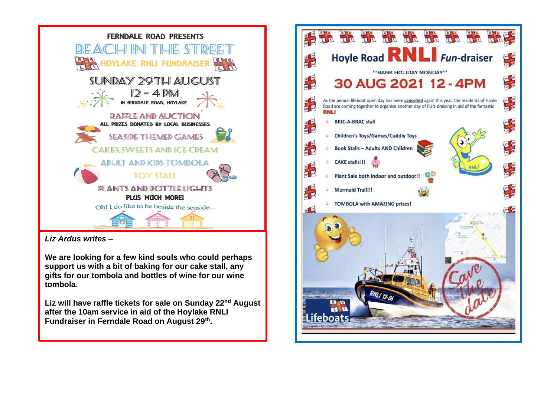

*Liz Ardus writes –*

**We are looking for a few kind souls who could perhaps support us with a bit of baking for our cake stall, any gifts for our tombola and bottles of wine for our wine tombola.** 

**Liz will have raffle tickets for sale on Sunday 22nd August after the 10am service in aid of the Hoylake RNLI Fundraiser in Ferndale Road on August 29th .** 

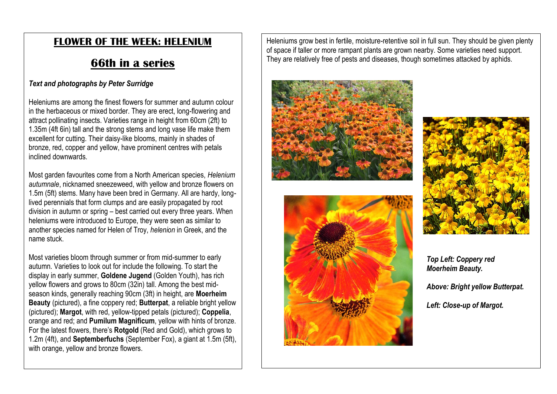### **FLOWER OF THE WEEK: HELENIUM**

## **66th in a series**

#### *Text and photographs by Peter Surridge*

Heleniums are among the finest flowers for summer and autumn colour in the herbaceous or mixed border. They are erect, long-flowering and attract pollinating insects. Varieties range in height from 60cm (2ft) to 1.35m (4ft 6in) tall and the strong stems and long vase life make them excellent for cutting. Their daisy-like blooms, mainly in shades of bronze, red, copper and yellow, have prominent centres with petals inclined downwards.

Most garden favourites come from a North American species, *Helenium autumnale*, nicknamed sneezeweed, with yellow and bronze flowers on 1.5m (5ft) stems. Many have been bred in Germany. All are hardy, longlived perennials that form clumps and are easily propagated by root division in autumn or spring – best carried out every three years. When heleniums were introduced to Europe, they were seen as similar to another species named for Helen of Troy, *helenion* in Greek, and the name stuck.

Most varieties bloom through summer or from mid-summer to early autumn. Varieties to look out for include the following. To start the display in early summer, **Goldene Jugend** (Golden Youth), has rich yellow flowers and grows to 80cm (32in) tall. Among the best midseason kinds, generally reaching 90cm (3ft) in height, are **Moerheim Beauty** (pictured), a fine coppery red; **Butterpat**, a reliable bright yellow (pictured); **Margot**, with red, yellow-tipped petals (pictured); **Coppelia**, orange and red; and **Pumilum Magnificum**, yellow with hints of bronze. For the latest flowers, there's **Rotgold** (Red and Gold), which grows to 1.2m (4ft), and **Septemberfuchs** (September Fox), a giant at 1.5m (5ft), with orange, yellow and bronze flowers.

Heleniums grow best in fertile, moisture-retentive soil in full sun. They should be given plenty of space if taller or more rampant plants are grown nearby. Some varieties need support. They are relatively free of pests and diseases, though sometimes attacked by aphids.







*Top Left: Coppery red Moerheim Beauty.*

*Above: Bright yellow Butterpat.*

*Left: Close-up of Margot.*